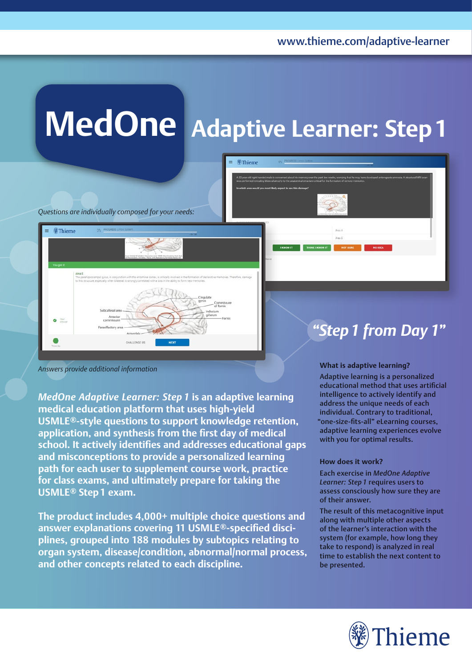# **MedOne Adaptive Learner: Step1**

**@Thieme** 

*Questions are individually composed for your needs:*

# **Thieme**  $\bullet$  Your

Answers provide additional information

*MedOne Adaptive Learner: Step 1* **is an adaptive learning medical education platform that uses high-yield USMLE®-style questions to support knowledge retention, application, and synthesis from the first day of medical school. It actively identifies and addresses educational gaps and misconceptions to provide a personalized learning path for each user to supplement course work, practice for class exams, and ultimately prepare for taking the USMLE® Step1 exam.**

**The product includes 4,000+ multiple choice questions and answer explanations covering 11 USMLE®-specified disciplines, grouped into 188 modules by subtopics relating to organ system, disease/condition, abnormal/normal process, and other concepts related to each discipline.**

### *"Step1 from Day 1"*

Adaptive learning is a personalized educational method that uses artificial intelligence to actively identify and address the unique needs of each individual. Contrary to traditional, "one-size-fits-all" eLearning courses, adaptive learning experiences evolve with you for optimal results.

#### **How does it work?**

Each exercise in *MedOne Adaptive Learner: Step 1* requires users to assess consciously how sure they are of their answer.

The result of this metacognitive input along with multiple other aspects of the learner's interaction with the system (for example, how long they take to respond) is analyzed in real time to establish the next content to be presented.